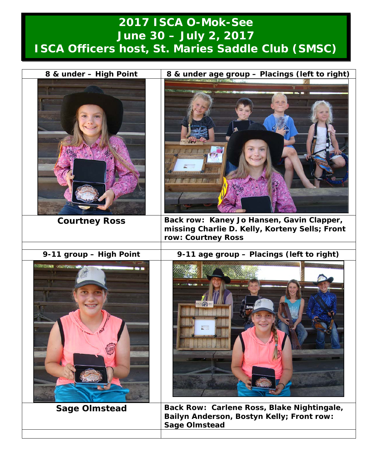## **2017 ISCA O-Mok-See June 30 – July 2, 2017 ISCA Officers host, St. Maries Saddle Club (SMSC)**

| 8 & under - High Point  | 8 & under age group - Placings (left to right)                                                                    |
|-------------------------|-------------------------------------------------------------------------------------------------------------------|
| <b>Courtney Ross</b>    | Back row: Kaney Jo Hansen, Gavin Clapper,<br>missing Charlie D. Kelly, Korteny Sells; Front<br>row: Courtney Ross |
| 9-11 group - High Point | 9-11 age group - Placings (left to right)                                                                         |
|                         |                                                                                                                   |
| <b>Sage Olmstead</b>    | Back Row: Carlene Ross, Blake Nightingale,<br>Bailyn Anderson, Bostyn Kelly; Front row:<br><b>Sage Olmstead</b>   |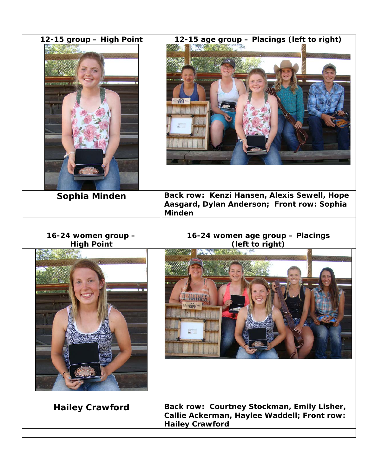| Back row: Kenzi Hansen, Alexis Sewell, Hope<br>Sophia Minden<br>Aasgard, Dylan Anderson; Front row: Sophia<br><b>Minden</b><br>16-24 women age group - Placings<br>16-24 women group -<br><b>High Point</b><br>(left to right)<br>Back row: Courtney Stockman, Emily Lisher,<br><b>Hailey Crawford</b><br>Callie Ackerman, Haylee Waddell; Front row:<br><b>Hailey Crawford</b> | 12-15 group - High Point | 12-15 age group - Placings (left to right) |
|---------------------------------------------------------------------------------------------------------------------------------------------------------------------------------------------------------------------------------------------------------------------------------------------------------------------------------------------------------------------------------|--------------------------|--------------------------------------------|
|                                                                                                                                                                                                                                                                                                                                                                                 |                          |                                            |
|                                                                                                                                                                                                                                                                                                                                                                                 |                          |                                            |
|                                                                                                                                                                                                                                                                                                                                                                                 |                          |                                            |
|                                                                                                                                                                                                                                                                                                                                                                                 |                          |                                            |
|                                                                                                                                                                                                                                                                                                                                                                                 |                          |                                            |
|                                                                                                                                                                                                                                                                                                                                                                                 |                          |                                            |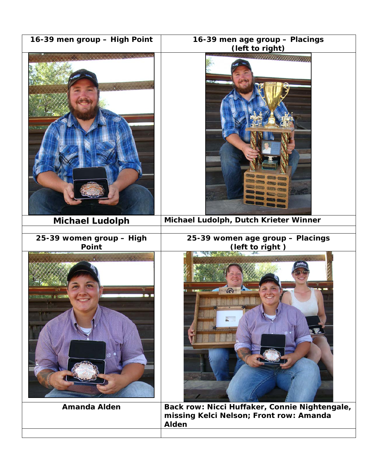| 16-39 men group - High Point      | 16-39 men age group - Placings<br>(left to right)                                                 |
|-----------------------------------|---------------------------------------------------------------------------------------------------|
| Chain                             | <i>UMMUNIMUM</i>                                                                                  |
| <b>Michael Ludolph</b>            | Michael Ludolph, Dutch Krieter Winner                                                             |
| 25-39 women group - High<br>Point | 25-39 women age group - Placings<br>(left to right)<br>Control of the<br>ISCA (C)2017             |
| <b>Amanda Alden</b>               | Back row: Nicci Huffaker, Connie Nightengale,<br>missing Kelci Nelson; Front row: Amanda<br>Alden |